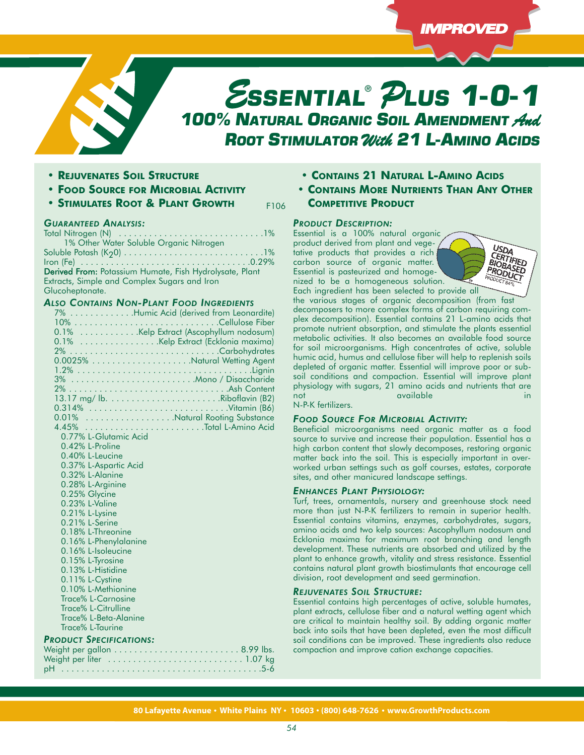

F106

- **• REJUVENATES SOIL STRUCTURE**
- **• FOOD SOURCE FOR MICROBIAL ACTIVITY**
- **• STIMULATES ROOT & PLANT GROWTH**

### *GUARANTEED ANALYSIS:*

Total Nitrogen (N) . . . . . . . . . . . . . . . . . . . . . . . . . . . . .1% 1% Other Water Soluble Organic Nitrogen Soluble Potash (K20) . . . . . . . . . . . . . . . . . . . . . . . . . . . .1% Iron (Fe) . . . . . . . . . . . . . . . . . . . . . . . . . . . . . . . . . .0.29% Derived From: Potassium Humate, Fish Hydrolysate, Plant Extracts, Simple and Complex Sugars and Iron Glucoheptonate.

# *ALSO CONTAINS NON-PLANT FOOD INGREDIENTS*

|                                | 7% Humic Acid (derived from Leonardite) |
|--------------------------------|-----------------------------------------|
|                                |                                         |
|                                | 0.1% Kelp Extract (Ascophyllum nodosum) |
|                                | 0.1% Kelp Extract (Ecklonia maxima)     |
|                                |                                         |
|                                |                                         |
|                                |                                         |
|                                |                                         |
|                                |                                         |
|                                |                                         |
|                                |                                         |
|                                | 0.01% Natural Rooting Substance         |
|                                |                                         |
| 0.77% L-Glutamic Acid          |                                         |
| 0.42% L-Proline                |                                         |
| 0.40% L-Leucine                |                                         |
| 0.37% L-Aspartic Acid          |                                         |
| 0.32% L-Alanine                |                                         |
| 0.28% L-Arginine               |                                         |
| 0.25% Glycine                  |                                         |
| 0.23% L-Valine                 |                                         |
| 0.21% L-Lysine                 |                                         |
| 0.21% L-Serine                 |                                         |
| 0.18% L-Threonine              |                                         |
| 0.16% L-Phenylalanine          |                                         |
| 0.16% L-Isoleucine             |                                         |
| 0.15% L-Tyrosine               |                                         |
| 0.13% L-Histidine              |                                         |
| 0.11% L-Cystine                |                                         |
| 0.10% L-Methionine             |                                         |
| Trace% L-Carnosine             |                                         |
| Trace% L-Citrulline            |                                         |
| Trace% L-Beta-Alanine          |                                         |
| Trace% L-Taurine               |                                         |
| <b>PRODUCT SPECIFICATIONS:</b> |                                         |
|                                |                                         |
|                                |                                         |
|                                |                                         |

- **• CONTAINS 21 NATURAL L-AMINO ACIDS**
- **• CONTAINS MORE NUTRIENTS THAN ANY OTHER COMPETITIVE PRODUCT**

#### *PRODUCT DESCRIPTION:*

Essential is a 100% natural organic product derived from plant and vegetative products that provides a rich carbon source of organic matter. Essential is pasteurized and homogenized to be a homogeneous solution. Each ingredient has been selected to provide all

USDA **CERTIFIEL<br>CERTIFIEL<br>BIOBA SER** ERTIFIEL RODUC

the various stages of organic decomposition (from fast decomposers to more complex forms of carbon requiring complex decomposition). Essential contains 21 L-amino acids that promote nutrient absorption, and stimulate the plants essential metabolic activities. It also becomes an available food source for soil microorganisms. High concentrates of active, soluble humic acid, humus and cellulose fiber will help to replenish soils depleted of organic matter. Essential will improve poor or subsoil conditions and compaction. Essential will improve plant physiology with sugars, 21 amino acids and nutrients that are not available in the state of the state in the state of the state in the state in the state in the state in the state in the state in the state in the state in the state in the state in the state in the state in the state

N-P-K fertilizers.

# *FOOD SOURCE FOR MICROBIAL ACTIVITY:*

Beneficial microorganisms need organic matter as a food source to survive and increase their population. Essential has a high carbon content that slowly decomposes, restoring organic matter back into the soil. This is especially important in overworked urban settings such as golf courses, estates, corporate sites, and other manicured landscape settings.

#### *ENHANCES PLANT PHYSIOLOGY:*

Turf, trees, ornamentals, nursery and greenhouse stock need more than just N-P-K fertilizers to remain in superior health. Essential contains vitamins, enzymes, carbohydrates, sugars, amino acids and two kelp sources: Ascophyllum nodosum and Ecklonia maxima for maximum root branching and length development. These nutrients are absorbed and utilized by the plant to enhance growth, vitality and stress resistance. Essential contains natural plant growth biostimulants that encourage cell division, root development and seed germination.

### *REJUVENATES SOIL STRUCTURE:*

Essential contains high percentages of active, soluble humates, plant extracts, cellulose fiber and a natural wetting agent which are critical to maintain healthy soil. By adding organic matter back into soils that have been depleted, even the most difficult soil conditions can be improved. These ingredients also reduce compaction and improve cation exchange capacities.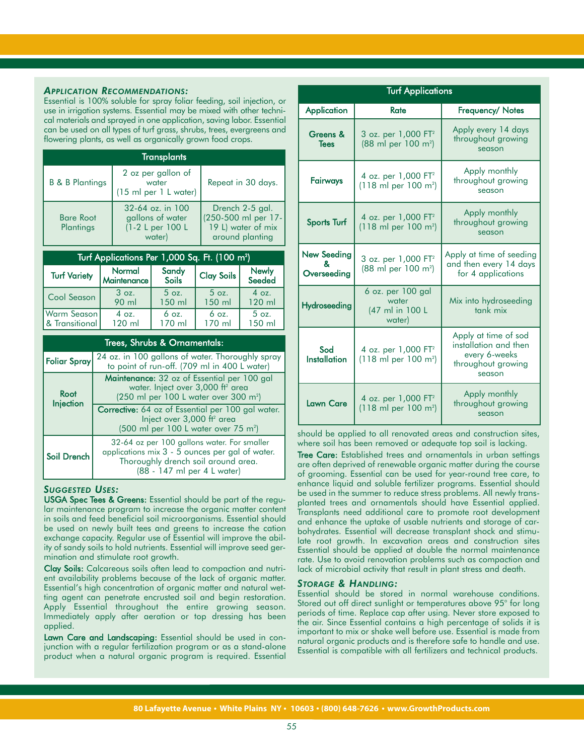## *APPLICATION RECOMMENDATIONS:*

Essential is 100% soluble for spray foliar feeding, soil injection, or use in irrigation systems. Essential may be mixed with other technical materials and sprayed in one application, saving labor. Essential can be used on all types of turf grass, shrubs, trees, evergreens and flowering plants, as well as organically grown food crops.

| <b>Transplants</b>            |                                                                    |                                                                                 |  |
|-------------------------------|--------------------------------------------------------------------|---------------------------------------------------------------------------------|--|
| <b>B &amp; B Plantings</b>    | 2 oz per gallon of<br>water<br>(15 ml per 1 L water)               | Repeat in 30 days.                                                              |  |
| <b>Bare Root</b><br>Plantings | 32-64 oz. in 100<br>gallons of water<br>(1-2 L per 100 L<br>water) | Drench 2-5 gal.<br>(250-500 ml per 17-<br>19 L) water of mix<br>around planting |  |

| Turf Applications Per 1,000 Sq. F <u>t. (100 m<sup>2</sup>)</u> |                         |                       |                   |                        |  |
|-----------------------------------------------------------------|-------------------------|-----------------------|-------------------|------------------------|--|
| <b>Turf Variety</b>                                             | Normal<br>  Maintenance | Sandy<br><b>Soils</b> | <b>Clay Soils</b> | <b>Newly</b><br>Seeded |  |
| Cool Season                                                     | 3 oz.                   | $5$ oz.               | $5$ oz.           | 4 oz.                  |  |
|                                                                 | 90 ml                   | 150 ml                | 150 ml            | 120 ml                 |  |
| Warm Season                                                     | 4 oz.                   | $6$ oz.               | $6$ oz.           | $5$ oz.                |  |
| & Transitional                                                  | 120 ml                  | 170 ml                | 170 ml            | 150 ml                 |  |

| Trees, Shrubs & Ornamentals: |                                                                                                                                                                        |  |
|------------------------------|------------------------------------------------------------------------------------------------------------------------------------------------------------------------|--|
| <b>Foliar Spray</b>          | 24 oz. in 100 gallons of water. Thoroughly spray<br>to point of run-off. (709 ml in 400 L water)                                                                       |  |
| Root<br>Injection            | <b>Maintenance:</b> 32 oz of Essential per 100 gal<br>water. Inject over 3,000 ft <sup>2</sup> area<br>(250 ml per 100 L water over 300 m <sup>2</sup> )               |  |
|                              | <b>Corrective:</b> 64 oz of Essential per 100 gal water.<br>Inject over 3,000 ft <sup>2</sup> area<br>$(500 \text{ ml per } 100 \text{ L water over } 75 \text{ m}^2)$ |  |
| Soil Drench                  | 32-64 oz per 100 gallons water. For smaller<br>applications mix 3 - 5 ounces per gal of water.<br>Thoroughly drench soil around area.<br>(88 - 147 ml per 4 L water)   |  |

#### *SUGGESTED USES:*

USGA Spec Tees & Greens: Essential should be part of the regular maintenance program to increase the organic matter content in soils and feed beneficial soil microorganisms. Essential should be used on newly built tees and greens to increase the cation exchange capacity. Regular use of Essential will improve the ability of sandy soils to hold nutrients. Essential will improve seed germination and stimulate root growth.

Clay Soils: Calcareous soils often lead to compaction and nutrient availability problems because of the lack of organic matter. Essential's high concentration of organic matter and natural wetting agent can penetrate encrusted soil and begin restoration. Apply Essential throughout the entire growing season. Immediately apply after aeration or top dressing has been applied.

Lawn Care and Landscaping: Essential should be used in conjunction with a regular fertilization program or as a stand-alone product when a natural organic program is required. Essential

| <b>Turf Applications</b>               |                                                                            |                                                                                                |  |
|----------------------------------------|----------------------------------------------------------------------------|------------------------------------------------------------------------------------------------|--|
| <b>Application</b>                     | <b>Rate</b>                                                                | Frequency/ Notes                                                                               |  |
| Greens &<br><b>Tees</b>                | 3 oz. per 1,000 FT <sup>2</sup><br>$(88 \text{ ml per } 100 \text{ m}^2)$  | Apply every 14 days<br>throughout growing<br>season                                            |  |
| Fairways                               | 4 oz. per 1,000 FT <sup>2</sup><br>(118 ml per 100 m <sup>2</sup> )        | Apply monthly<br>throughout growing<br>season                                                  |  |
| <b>Sports Turf</b>                     | 4 oz. per 1,000 FT <sup>2</sup><br>$(118 \text{ ml per } 100 \text{ m}^2)$ | Apply monthly<br>throughout growing<br>season                                                  |  |
| <b>New Seeding</b><br>ጼ<br>Overseeding | 3 oz. per 1,000 FT <sup>2</sup><br>(88 ml per 100 m <sup>2</sup> )         | Apply at time of seeding<br>and then every 14 days<br>for 4 applications                       |  |
| <b>Hydroseeding</b>                    | 6 oz. per 100 gal<br>water<br>(47 ml in 100 L<br>water)                    | Mix into hydroseeding<br>tank mix                                                              |  |
| Sod<br><b>Installation</b>             | 4 oz. per 1,000 FT <sup>2</sup><br>$(118 \text{ ml per } 100 \text{ m}^2)$ | Apply at time of sod<br>installation and then<br>every 6-weeks<br>throughout growing<br>season |  |
| <b>Lawn Care</b>                       | 4 oz. per 1,000 FT <sup>2</sup><br>$(118 \text{ ml per } 100 \text{ m}^2)$ | Apply monthly<br>throughout growing<br>season                                                  |  |

should be applied to all renovated areas and construction sites, where soil has been removed or adequate top soil is lacking.

Tree Care: Established trees and ornamentals in urban settings are often deprived of renewable organic matter during the course of grooming. Essential can be used for year-round tree care, to enhance liquid and soluble fertilizer programs. Essential should be used in the summer to reduce stress problems. All newly transplanted trees and ornamentals should have Essential applied. Transplants need additional care to promote root development and enhance the uptake of usable nutrients and storage of carbohydrates. Essential will decrease transplant shock and stimulate root growth. In excavation areas and construction sites Essential should be applied at double the normal maintenance rate. Use to avoid renovation problems such as compaction and lack of microbial activity that result in plant stress and death.

#### *STORAGE & HANDLING:*

Essential should be stored in normal warehouse conditions. Stored out off direct sunlight or temperatures above 95° for long periods of time. Replace cap after using. Never store exposed to the air. Since Essential contains a high percentage of solids it is important to mix or shake well before use. Essential is made from natural organic products and is therefore safe to handle and use. Essential is compatible with all fertilizers and technical products.